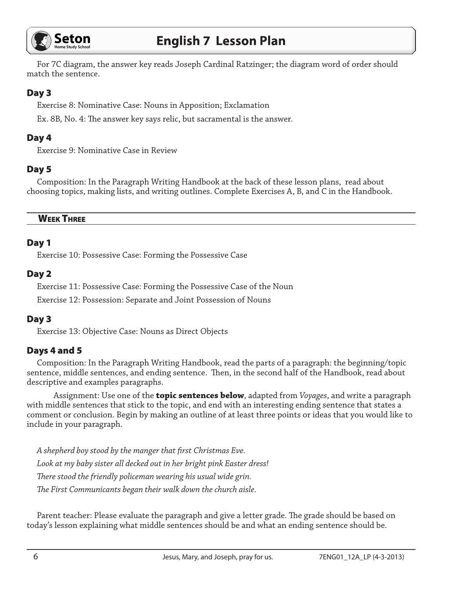

# **English 7 Lesson Plan**

For 7C diagram, the answer key reads Joseph Cardinal Ratzinger; the diagram word of order should match the sentence.

## Day 3

Exercise 8: Nominative Case: Nouns in Apposition; Exclamation

Ex. 8B, No. 4: The answer key says relic, but sacramental is the answer.

# Day 4

Exercise 9: Nominative Case in Review

## Day 5

Composition: In the Paragraph Writing Handbook at the back of these lesson plans, read about choosing topics, making lists, and writing outlines. Complete Exercises A, B, and C in the Handbook.

#### WEEK THREE

## Day 1

Exercise 10: Possessive Case: Forming the Possessive Case

#### Day 2

Exercise 11: Possessive Case: Forming the Possessive Case of the Noun

Exercise 12: Possession: Separate and Joint Possession of Nouns

## Day 3

Exercise 13: Objective Case: Nouns as Direct Objects

# Days 4 and 5

Composition: In the Paragraph Writing Handbook, read the parts of a paragraph: the beginning/topic sentence, middle sentences, and ending sentence. Then, in the second half of the Handbook, read about descriptive and examples paragraphs.

Assignment: Use one of the **topic sentences below**, adapted from *Voyages*, and write a paragraph with middle sentences that stick to the topic, and end with an interesting ending sentence that states a comment or conclusion. Begin by making an outline of at least three points or ideas that you would like to include in your paragraph.

*A shepherd boy stood by the manger that first Christmas Eve. Look at my baby sister all decked out in her bright pink Easter dress! There stood the friendly policeman wearing his usual wide grin. The First Communicants began their walk down the church aisle.* 

Parent teacher: Please evaluate the paragraph and give a letter grade. The grade should be based on today's lesson explaining what middle sentences should be and what an ending sentence should be.